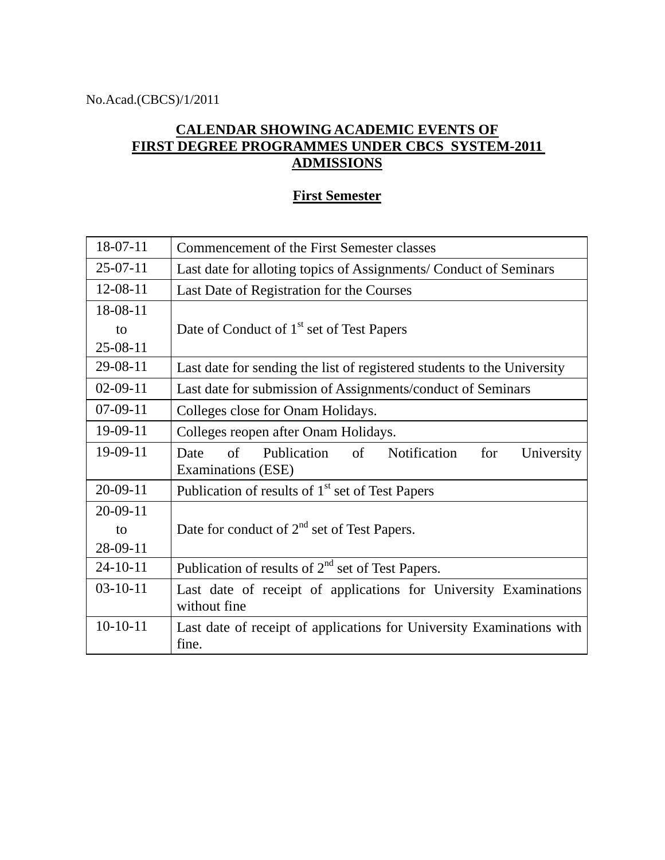## **CALENDAR SHOWING ACADEMIC EVENTS OF FIRST DEGREE PROGRAMMES UNDER CBCS SYSTEM-2011 ADMISSIONS**

## **First Semester**

| 18-07-11       | Commencement of the First Semester classes                                           |
|----------------|--------------------------------------------------------------------------------------|
| $25-07-11$     | Last date for alloting topics of Assignments/ Conduct of Seminars                    |
| 12-08-11       | Last Date of Registration for the Courses                                            |
| 18-08-11       |                                                                                      |
| to             | Date of Conduct of 1 <sup>st</sup> set of Test Papers                                |
| $25-08-11$     |                                                                                      |
| 29-08-11       | Last date for sending the list of registered students to the University              |
| $02-09-11$     | Last date for submission of Assignments/conduct of Seminars                          |
| $07-09-11$     | Colleges close for Onam Holidays.                                                    |
| 19-09-11       | Colleges reopen after Onam Holidays.                                                 |
| 19-09-11       | Publication of Notification<br>of<br>for<br>University<br>Date<br>Examinations (ESE) |
| $20-09-11$     | Publication of results of 1 <sup>st</sup> set of Test Papers                         |
| $20-09-11$     |                                                                                      |
| to             | Date for conduct of $2nd$ set of Test Papers.                                        |
| 28-09-11       |                                                                                      |
| $24 - 10 - 11$ | Publication of results of 2 <sup>nd</sup> set of Test Papers.                        |
| $03-10-11$     | Last date of receipt of applications for University Examinations<br>without fine     |
| $10-10-11$     | Last date of receipt of applications for University Examinations with<br>fine.       |